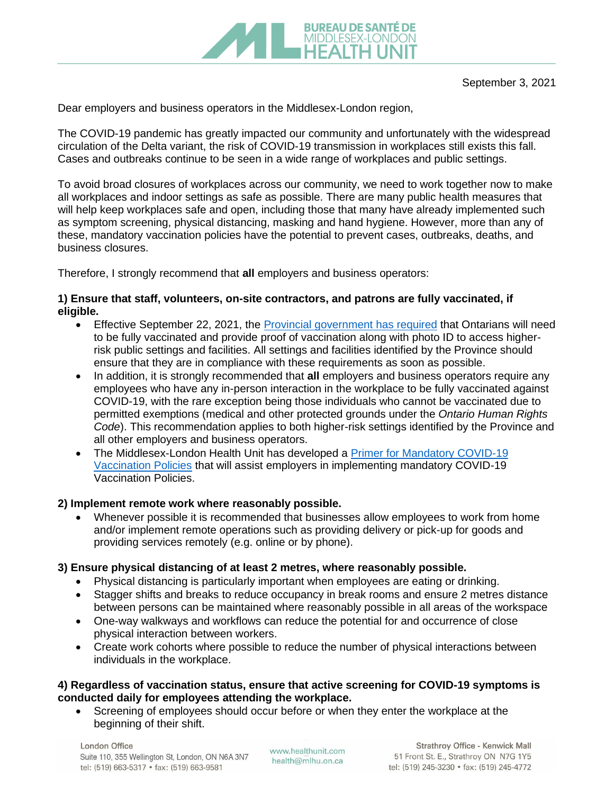

Dear employers and business operators in the Middlesex-London region,

The COVID-19 pandemic has greatly impacted our community and unfortunately with the widespread circulation of the Delta variant, the risk of COVID-19 transmission in workplaces still exists this fall. Cases and outbreaks continue to be seen in a wide range of workplaces and public settings.

To avoid broad closures of workplaces across our community, we need to work together now to make all workplaces and indoor settings as safe as possible. There are many public health measures that will help keep workplaces safe and open, including those that many have already implemented such as symptom screening, physical distancing, masking and hand hygiene. However, more than any of these, mandatory vaccination policies have the potential to prevent cases, outbreaks, deaths, and business closures.

Therefore, I strongly recommend that **all** employers and business operators:

# **1) Ensure that staff, volunteers, on-site contractors, and patrons are fully vaccinated, if eligible.**

- Effective September 22, 2021, the [Provincial government has required](https://news.ontario.ca/en/release/1000779/ontario-to-require-proof-of-vaccination-in-select-settings) that Ontarians will need to be fully vaccinated and provide proof of vaccination along with photo ID to access higherrisk public settings and facilities. All settings and facilities identified by the Province should ensure that they are in compliance with these requirements as soon as possible.
- In addition, it is strongly recommended that **all** employers and business operators require any employees who have any in-person interaction in the workplace to be fully vaccinated against COVID-19, with the rare exception being those individuals who cannot be vaccinated due to permitted exemptions (medical and other protected grounds under the *Ontario Human Rights Code*). This recommendation applies to both higher-risk settings identified by the Province and all other employers and business operators.
- The Middlesex-London Health Unit has developed a Primer [for Mandatory COVID-19](https://www.healthunit.com/uploads/primer-for-mandatory-vaccination-policies-2021-09-03.pdf)  [Vaccination Policies](https://www.healthunit.com/uploads/primer-for-mandatory-vaccination-policies-2021-09-03.pdf) that will assist employers in implementing mandatory COVID-19 Vaccination Policies.

# **2) Implement remote work where reasonably possible.**

• Whenever possible it is recommended that businesses allow employees to work from home and/or implement remote operations such as providing delivery or pick-up for goods and providing services remotely (e.g. online or by phone).

# **3) Ensure physical distancing of at least 2 metres, where reasonably possible.**

- Physical distancing is particularly important when employees are eating or drinking.
- Stagger shifts and breaks to reduce occupancy in break rooms and ensure 2 metres distance between persons can be maintained where reasonably possible in all areas of the workspace
- One-way walkways and workflows can reduce the potential for and occurrence of close physical interaction between workers.
- Create work cohorts where possible to reduce the number of physical interactions between individuals in the workplace.

### **4) Regardless of vaccination status, ensure that active screening for COVID-19 symptoms is conducted daily for employees attending the workplace.**

• Screening of employees should occur before or when they enter the workplace at the beginning of their shift.